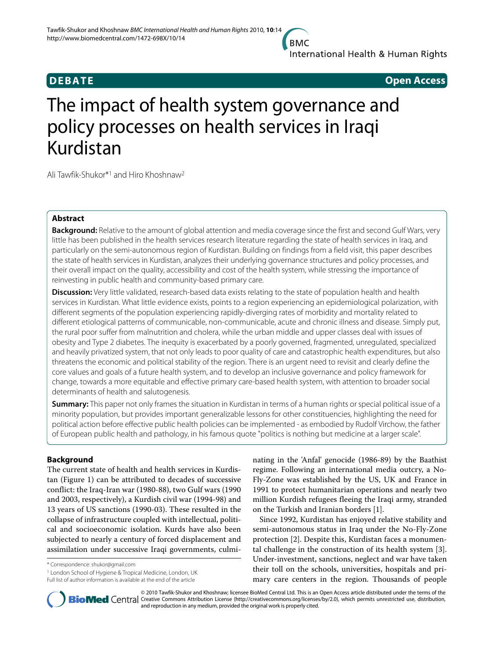**BMC** International Health & Human Rights

**DEBATE Open Access**

# The impact of health system governance and policy processes on health services in Iraqi Kurdistan

Ali Tawfik-Shukor\*1 and Hiro Khoshnaw2

# **Abstract**

**Background:** Relative to the amount of global attention and media coverage since the first and second Gulf Wars, very little has been published in the health services research literature regarding the state of health services in Iraq, and particularly on the semi-autonomous region of Kurdistan. Building on findings from a field visit, this paper describes the state of health services in Kurdistan, analyzes their underlying governance structures and policy processes, and their overall impact on the quality, accessibility and cost of the health system, while stressing the importance of reinvesting in public health and community-based primary care.

**Discussion:** Very little validated, research-based data exists relating to the state of population health and health services in Kurdistan. What little evidence exists, points to a region experiencing an epidemiological polarization, with different segments of the population experiencing rapidly-diverging rates of morbidity and mortality related to different etiological patterns of communicable, non-communicable, acute and chronic illness and disease. Simply put, the rural poor suffer from malnutrition and cholera, while the urban middle and upper classes deal with issues of obesity and Type 2 diabetes. The inequity is exacerbated by a poorly governed, fragmented, unregulated, specialized and heavily privatized system, that not only leads to poor quality of care and catastrophic health expenditures, but also threatens the economic and political stability of the region. There is an urgent need to revisit and clearly define the core values and goals of a future health system, and to develop an inclusive governance and policy framework for change, towards a more equitable and effective primary care-based health system, with attention to broader social determinants of health and salutogenesis.

**Summary:** This paper not only frames the situation in Kurdistan in terms of a human rights or special political issue of a minority population, but provides important generalizable lessons for other constituencies, highlighting the need for political action before effective public health policies can be implemented - as embodied by Rudolf Virchow, the father of European public health and pathology, in his famous quote "politics is nothing but medicine at a larger scale".

# **Background**

The current state of health and health services in Kurdistan (Figure [1](#page-1-0)) can be attributed to decades of successive conflict: the Iraq-Iran war (1980-88), two Gulf wars (1990 and 2003, respectively), a Kurdish civil war (1994-98) and 13 years of US sanctions (1990-03). These resulted in the collapse of infrastructure coupled with intellectual, political and socioeconomic isolation. Kurds have also been subjected to nearly a century of forced displacement and assimilation under successive Iraqi governments, culmi-

\* Correspondence: shukor@gmail.com

1 London School of Hygiene & Tropical Medicine, London, UK Full list of author information is available at the end of the article

nating in the 'Anfal' genocide (1986-89) by the Baathist regime. Following an international media outcry, a No-Fly-Zone was established by the US, UK and France in 1991 to protect humanitarian operations and nearly two million Kurdish refugees fleeing the Iraqi army, stranded on the Turkish and Iranian borders [[1\]](#page-5-0).

Since 1992, Kurdistan has enjoyed relative stability and semi-autonomous status in Iraq under the No-Fly-Zone protection [\[2](#page-5-1)]. Despite this, Kurdistan faces a monumental challenge in the construction of its health system [\[3](#page-5-2)]. Under-investment, sanctions, neglect and war have taken their toll on the schools, universities, hospitals and primary care centers in the region. Thousands of people



© 2010 Tawfik-Shukor and Khoshnaw; licensee BioMed Central Ltd. This is an Open Access article distributed under the terms of the **BioMed** Central Creative Commons Attribution License (http://creativecommons.org/licenses/by/2.0), which permits unrestricted use, distribution, and reproduction in any medium, provided the original work is properly cited.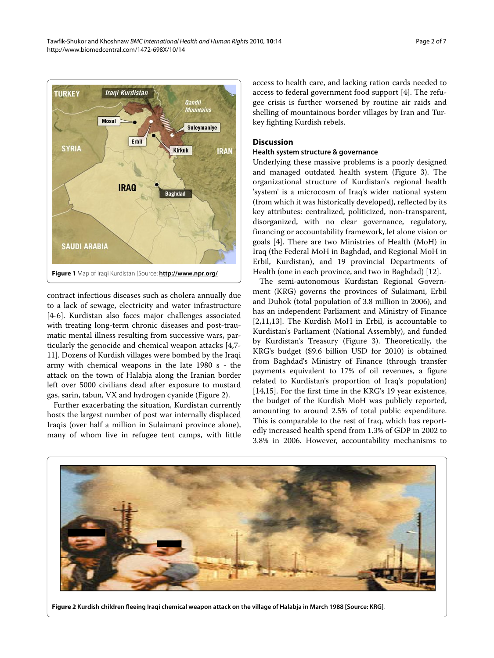<span id="page-1-0"></span>

contract infectious diseases such as cholera annually due to a lack of sewage, electricity and water infrastructure [[4](#page-5-3)[-6](#page-5-4)]. Kurdistan also faces major challenges associated with treating long-term chronic diseases and post-traumatic mental illness resulting from successive wars, particularly the genocide and chemical weapon attacks [[4,](#page-5-3)[7-](#page-5-5) [11](#page-5-6)]. Dozens of Kurdish villages were bombed by the Iraqi army with chemical weapons in the late 1980 s - the attack on the town of Halabja along the Iranian border left over 5000 civilians dead after exposure to mustard gas, sarin, tabun, VX and hydrogen cyanide (Figure [2\)](#page-1-1).

Further exacerbating the situation, Kurdistan currently hosts the largest number of post war internally displaced Iraqis (over half a million in Sulaimani province alone), many of whom live in refugee tent camps, with little access to health care, and lacking ration cards needed to access to federal government food support [\[4](#page-5-3)]. The refugee crisis is further worsened by routine air raids and shelling of mountainous border villages by Iran and Turkey fighting Kurdish rebels.

# **Discussion**

# **Health system structure & governance**

Underlying these massive problems is a poorly designed and managed outdated health system (Figure [3\)](#page-2-0). The organizational structure of Kurdistan's regional health 'system' is a microcosm of Iraq's wider national system (from which it was historically developed), reflected by its key attributes: centralized, politicized, non-transparent, disorganized, with no clear governance, regulatory, financing or accountability framework, let alone vision or goals [\[4](#page-5-3)]. There are two Ministries of Health (MoH) in Iraq (the Federal MoH in Baghdad, and Regional MoH in Erbil, Kurdistan), and 19 provincial Departments of Health (one in each province, and two in Baghdad) [[12](#page-5-7)].

The semi-autonomous Kurdistan Regional Government (KRG) governs the provinces of Sulaimani, Erbil and Duhok (total population of 3.8 million in 2006), and has an independent Parliament and Ministry of Finance [[2,](#page-5-1)[11](#page-5-6)[,13\]](#page-5-8). The Kurdish MoH in Erbil, is accountable to Kurdistan's Parliament (National Assembly), and funded by Kurdistan's Treasury (Figure [3\)](#page-2-0). Theoretically, the KRG's budget (\$9.6 billion USD for 2010) is obtained from Baghdad's Ministry of Finance (through transfer payments equivalent to 17% of oil revenues, a figure related to Kurdistan's proportion of Iraq's population) [[14,](#page-5-9)[15\]](#page-5-10). For the first time in the KRG's 19 year existence, the budget of the Kurdish MoH was publicly reported, amounting to around 2.5% of total public expenditure. This is comparable to the rest of Iraq, which has reportedly increased health spend from 1.3% of GDP in 2002 to 3.8% in 2006. However, accountability mechanisms to

<span id="page-1-1"></span>

**Figure 2 Kurdish children fleeing Iraqi chemical weapon attack on the village of Halabja in March 1988 [Source: KRG]**.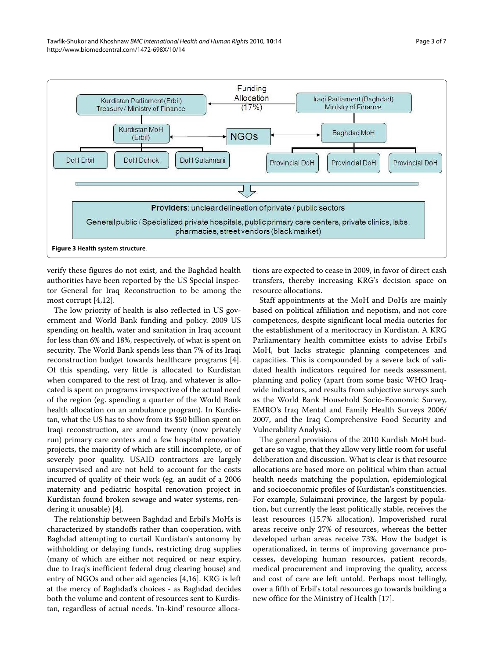<span id="page-2-0"></span>

verify these figures do not exist, and the Baghdad health authorities have been reported by the US Special Inspector General for Iraq Reconstruction to be among the most corrupt [[4,](#page-5-3)[12\]](#page-5-7).

The low priority of health is also reflected in US government and World Bank funding and policy. 2009 US spending on health, water and sanitation in Iraq account for less than 6% and 18%, respectively, of what is spent on security. The World Bank spends less than 7% of its Iraqi reconstruction budget towards healthcare programs [\[4](#page-5-3)]. Of this spending, very little is allocated to Kurdistan when compared to the rest of Iraq, and whatever is allocated is spent on programs irrespective of the actual need of the region (eg. spending a quarter of the World Bank health allocation on an ambulance program). In Kurdistan, what the US has to show from its \$50 billion spent on Iraqi reconstruction, are around twenty (now privately run) primary care centers and a few hospital renovation projects, the majority of which are still incomplete, or of severely poor quality. USAID contractors are largely unsupervised and are not held to account for the costs incurred of quality of their work (eg. an audit of a 2006 maternity and pediatric hospital renovation project in Kurdistan found broken sewage and water systems, rendering it unusable) [[4\]](#page-5-3).

The relationship between Baghdad and Erbil's MoHs is characterized by standoffs rather than cooperation, with Baghdad attempting to curtail Kurdistan's autonomy by withholding or delaying funds, restricting drug supplies (many of which are either not required or near expiry, due to Iraq's inefficient federal drug clearing house) and entry of NGOs and other aid agencies [[4,](#page-5-3)[16\]](#page-5-11). KRG is left at the mercy of Baghdad's choices - as Baghdad decides both the volume and content of resources sent to Kurdistan, regardless of actual needs. 'In-kind' resource alloca-

tions are expected to cease in 2009, in favor of direct cash transfers, thereby increasing KRG's decision space on resource allocations.

Staff appointments at the MoH and DoHs are mainly based on political affiliation and nepotism, and not core competences, despite significant local media outcries for the establishment of a meritocracy in Kurdistan. A KRG Parliamentary health committee exists to advise Erbil's MoH, but lacks strategic planning competences and capacities. This is compounded by a severe lack of validated health indicators required for needs assessment, planning and policy (apart from some basic WHO Iraqwide indicators, and results from subjective surveys such as the World Bank Household Socio-Economic Survey, EMRO's Iraq Mental and Family Health Surveys 2006/ 2007, and the Iraq Comprehensive Food Security and Vulnerability Analysis).

The general provisions of the 2010 Kurdish MoH budget are so vague, that they allow very little room for useful deliberation and discussion. What is clear is that resource allocations are based more on political whim than actual health needs matching the population, epidemiological and socioeconomic profiles of Kurdistan's constituencies. For example, Sulaimani province, the largest by population, but currently the least politically stable, receives the least resources (15.7% allocation). Impoverished rural areas receive only 27% of resources, whereas the better developed urban areas receive 73%. How the budget is operationalized, in terms of improving governance processes, developing human resources, patient records, medical procurement and improving the quality, access and cost of care are left untold. Perhaps most tellingly, over a fifth of Erbil's total resources go towards building a new office for the Ministry of Health [[17\]](#page-5-12).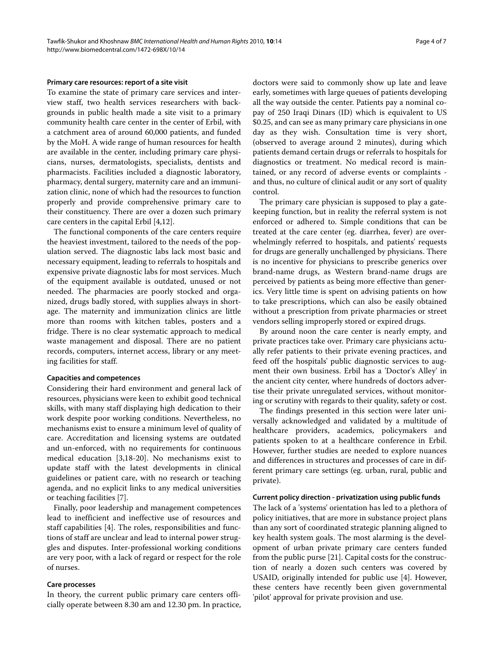# **Primary care resources: report of a site visit**

To examine the state of primary care services and interview staff, two health services researchers with backgrounds in public health made a site visit to a primary community health care center in the center of Erbil, with a catchment area of around 60,000 patients, and funded by the MoH. A wide range of human resources for health are available in the center, including primary care physicians, nurses, dermatologists, specialists, dentists and pharmacists. Facilities included a diagnostic laboratory, pharmacy, dental surgery, maternity care and an immunization clinic, none of which had the resources to function properly and provide comprehensive primary care to their constituency. There are over a dozen such primary care centers in the capital Erbil [[4,](#page-5-3)[12\]](#page-5-7).

The functional components of the care centers require the heaviest investment, tailored to the needs of the population served. The diagnostic labs lack most basic and necessary equipment, leading to referrals to hospitals and expensive private diagnostic labs for most services. Much of the equipment available is outdated, unused or not needed. The pharmacies are poorly stocked and organized, drugs badly stored, with supplies always in shortage. The maternity and immunization clinics are little more than rooms with kitchen tables, posters and a fridge. There is no clear systematic approach to medical waste management and disposal. There are no patient records, computers, internet access, library or any meeting facilities for staff.

# **Capacities and competences**

Considering their hard environment and general lack of resources, physicians were keen to exhibit good technical skills, with many staff displaying high dedication to their work despite poor working conditions. Nevertheless, no mechanisms exist to ensure a minimum level of quality of care. Accreditation and licensing systems are outdated and un-enforced, with no requirements for continuous medical education [\[3](#page-5-2)[,18](#page-5-13)-[20](#page-5-14)]. No mechanisms exist to update staff with the latest developments in clinical guidelines or patient care, with no research or teaching agenda, and no explicit links to any medical universities or teaching facilities [\[7](#page-5-5)].

Finally, poor leadership and management competences lead to inefficient and ineffective use of resources and staff capabilities [[4\]](#page-5-3). The roles, responsibilities and functions of staff are unclear and lead to internal power struggles and disputes. Inter-professional working conditions are very poor, with a lack of regard or respect for the role of nurses.

## **Care processes**

In theory, the current public primary care centers officially operate between 8.30 am and 12.30 pm. In practice,

doctors were said to commonly show up late and leave early, sometimes with large queues of patients developing all the way outside the center. Patients pay a nominal copay of 250 Iraqi Dinars (ID) which is equivalent to US \$0.25, and can see as many primary care physicians in one day as they wish. Consultation time is very short, (observed to average around 2 minutes), during which patients demand certain drugs or referrals to hospitals for diagnostics or treatment. No medical record is maintained, or any record of adverse events or complaints and thus, no culture of clinical audit or any sort of quality control.

The primary care physician is supposed to play a gatekeeping function, but in reality the referral system is not enforced or adhered to. Simple conditions that can be treated at the care center (eg. diarrhea, fever) are overwhelmingly referred to hospitals, and patients' requests for drugs are generally unchallenged by physicians. There is no incentive for physicians to prescribe generics over brand-name drugs, as Western brand-name drugs are perceived by patients as being more effective than generics. Very little time is spent on advising patients on how to take prescriptions, which can also be easily obtained without a prescription from private pharmacies or street vendors selling improperly stored or expired drugs.

By around noon the care center is nearly empty, and private practices take over. Primary care physicians actually refer patients to their private evening practices, and feed off the hospitals' public diagnostic services to augment their own business. Erbil has a 'Doctor's Alley' in the ancient city center, where hundreds of doctors advertise their private unregulated services, without monitoring or scrutiny with regards to their quality, safety or cost.

The findings presented in this section were later universally acknowledged and validated by a multitude of healthcare providers, academics, policymakers and patients spoken to at a healthcare conference in Erbil. However, further studies are needed to explore nuances and differences in structures and processes of care in different primary care settings (eg. urban, rural, public and private).

# **Current policy direction - privatization using public funds**

The lack of a 'systems' orientation has led to a plethora of policy initiatives, that are more in substance project plans than any sort of coordinated strategic planning aligned to key health system goals. The most alarming is the development of urban private primary care centers funded from the public purse [\[21](#page-5-15)]. Capital costs for the construction of nearly a dozen such centers was covered by USAID, originally intended for public use [\[4](#page-5-3)]. However, these centers have recently been given governmental 'pilot' approval for private provision and use.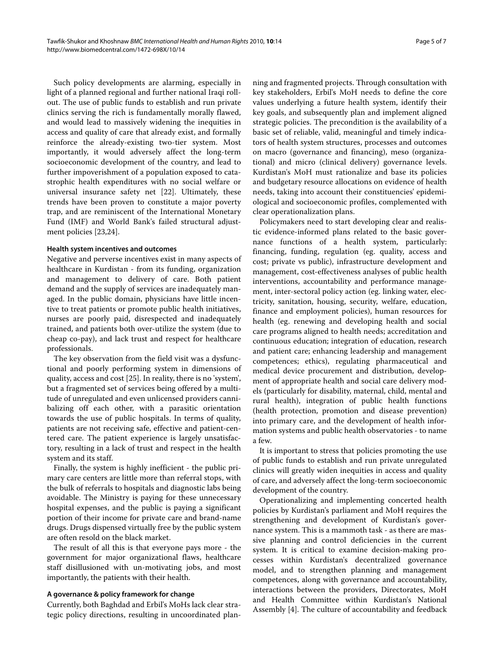Such policy developments are alarming, especially in light of a planned regional and further national Iraqi rollout. The use of public funds to establish and run private clinics serving the rich is fundamentally morally flawed, and would lead to massively widening the inequities in access and quality of care that already exist, and formally reinforce the already-existing two-tier system. Most importantly, it would adversely affect the long-term socioeconomic development of the country, and lead to further impoverishment of a population exposed to catastrophic health expenditures with no social welfare or universal insurance safety net [\[22](#page-6-0)]. Ultimately, these trends have been proven to constitute a major poverty trap, and are reminiscent of the International Monetary Fund (IMF) and World Bank's failed structural adjustment policies [[23,](#page-6-1)[24\]](#page-6-2).

# **Health system incentives and outcomes**

Negative and perverse incentives exist in many aspects of healthcare in Kurdistan - from its funding, organization and management to delivery of care. Both patient demand and the supply of services are inadequately managed. In the public domain, physicians have little incentive to treat patients or promote public health initiatives, nurses are poorly paid, disrespected and inadequately trained, and patients both over-utilize the system (due to cheap co-pay), and lack trust and respect for healthcare professionals.

The key observation from the field visit was a dysfunctional and poorly performing system in dimensions of quality, access and cost [[25\]](#page-6-3). In reality, there is no 'system', but a fragmented set of services being offered by a multitude of unregulated and even unlicensed providers cannibalizing off each other, with a parasitic orientation towards the use of public hospitals. In terms of quality, patients are not receiving safe, effective and patient-centered care. The patient experience is largely unsatisfactory, resulting in a lack of trust and respect in the health system and its staff.

Finally, the system is highly inefficient - the public primary care centers are little more than referral stops, with the bulk of referrals to hospitals and diagnostic labs being avoidable. The Ministry is paying for these unnecessary hospital expenses, and the public is paying a significant portion of their income for private care and brand-name drugs. Drugs dispensed virtually free by the public system are often resold on the black market.

The result of all this is that everyone pays more - the government for major organizational flaws, healthcare staff disillusioned with un-motivating jobs, and most importantly, the patients with their health.

# **A governance & policy framework for change**

Currently, both Baghdad and Erbil's MoHs lack clear strategic policy directions, resulting in uncoordinated plan-

ning and fragmented projects. Through consultation with key stakeholders, Erbil's MoH needs to define the core values underlying a future health system, identify their key goals, and subsequently plan and implement aligned strategic policies. The precondition is the availability of a basic set of reliable, valid, meaningful and timely indicators of health system structures, processes and outcomes on macro (governance and financing), meso (organizational) and micro (clinical delivery) governance levels. Kurdistan's MoH must rationalize and base its policies and budgetary resource allocations on evidence of health needs, taking into account their constituencies' epidemiological and socioeconomic profiles, complemented with clear operationalization plans.

Policymakers need to start developing clear and realistic evidence-informed plans related to the basic governance functions of a health system, particularly: financing, funding, regulation (eg. quality, access and cost; private vs public), infrastructure development and management, cost-effectiveness analyses of public health interventions, accountability and performance management, inter-sectoral policy action (eg. linking water, electricity, sanitation, housing, security, welfare, education, finance and employment policies), human resources for health (eg. renewing and developing health and social care programs aligned to health needs; accreditation and continuous education; integration of education, research and patient care; enhancing leadership and management competences; ethics), regulating pharmaceutical and medical device procurement and distribution, development of appropriate health and social care delivery models (particularly for disability, maternal, child, mental and rural health), integration of public health functions (health protection, promotion and disease prevention) into primary care, and the development of health information systems and public health observatories - to name a few.

It is important to stress that policies promoting the use of public funds to establish and run private unregulated clinics will greatly widen inequities in access and quality of care, and adversely affect the long-term socioeconomic development of the country.

Operationalizing and implementing concerted health policies by Kurdistan's parliament and MoH requires the strengthening and development of Kurdistan's governance system. This is a mammoth task - as there are massive planning and control deficiencies in the current system. It is critical to examine decision-making processes within Kurdistan's decentralized governance model, and to strengthen planning and management competences, along with governance and accountability, interactions between the providers, Directorates, MoH and Health Committee within Kurdistan's National Assembly [\[4](#page-5-3)]. The culture of accountability and feedback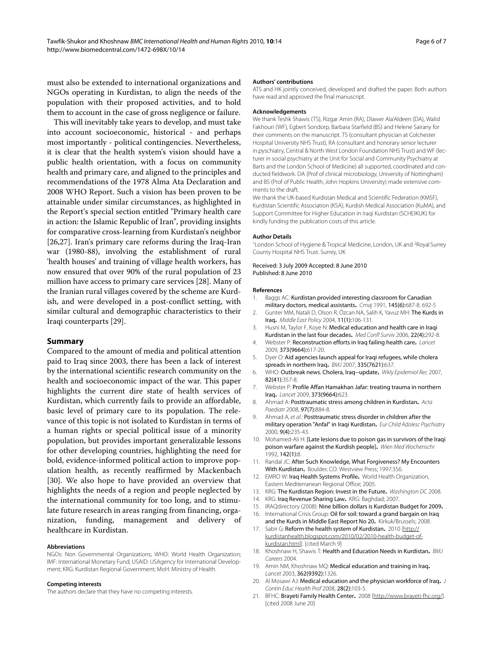must also be extended to international organizations and NGOs operating in Kurdistan, to align the needs of the population with their proposed activities, and to hold them to account in the case of gross negligence or failure.

This will inevitably take years to develop, and must take into account socioeconomic, historical - and perhaps most importantly - political contingencies. Nevertheless, it is clear that the health system's vision should have a public health orientation, with a focus on community health and primary care, and aligned to the principles and recommendations of the 1978 Alma Ata Declaration and 2008 WHO Report. Such a vision has been proven to be attainable under similar circumstances, as highlighted in the Report's special section entitled "Primary health care in action: the Islamic Republic of Iran", providing insights for comparative cross-learning from Kurdistan's neighbor [[26,](#page-6-4)[27\]](#page-6-5). Iran's primary care reforms during the Iraq-Iran war (1980-88), involving the establishment of rural 'health houses' and training of village health workers, has now ensured that over 90% of the rural population of 23 million have access to primary care services [\[28](#page-6-6)]. Many of the Iranian rural villages covered by the scheme are Kurdish, and were developed in a post-conflict setting, with similar cultural and demographic characteristics to their Iraqi counterparts [\[29](#page-6-7)].

# **Summary**

Compared to the amount of media and political attention paid to Iraq since 2003, there has been a lack of interest by the international scientific research community on the health and socioeconomic impact of the war. This paper highlights the current dire state of health services of Kurdistan, which currently fails to provide an affordable, basic level of primary care to its population. The relevance of this topic is not isolated to Kurdistan in terms of a human rights or special political issue of a minority population, but provides important generalizable lessons for other developing countries, highlighting the need for bold, evidence-informed political action to improve population health, as recently reaffirmed by Mackenbach [[30\]](#page-6-8). We also hope to have provided an overview that highlights the needs of a region and people neglected by the international community for too long, and to stimulate future research in areas ranging from financing, organization, funding, management and delivery of healthcare in Kurdistan.

# **Abbreviations**

NGOs: Non Governmental Organizations; WHO: World Health Organization; IMF: International Monetary Fund; USAID: USAgency for International Development; KRG: Kurdistan Regional Government; MoH: Ministry of Health.

## **Competing interests**

The authors declare that they have no competing interests.

#### **Authors' contributions**

ATS and HK jointly conceived, developed and drafted the paper. Both authors have read and approved the final manuscript.

#### **Acknowledgements**

We thank Teshk Shawis (TS), Rizgar Amin (RA), Dlawer Ala'Aldeen (DA), Walid Fakhouri (WF), Egbert Sondorp, Barbara Starfield (BS) and Helene Sairany for their comments on the manuscript. TS (consultant physician at Colchester Hospital University NHS Trust), RA (consultant and honorary senior lecturer in.pyschiatry, Central & North West London Foundation NHS Trust) and WF (lecturer in social psychiatry at the Unit for Social and Community Psychiatry at Barts and the London School of Medicine) all supported, coordinated and conducted fieldwork. DA (Prof of clinical microbiology, University of Nottingham) and BS (Prof of Public Health, John Hopkins University) made extensive comments to the draft.

We thank the UK-based Kurdistan Medical and Scientific Federation (KMSF), Kurdistan Scientific Association (KSA), Kurdish Medical Association (KuMA), and Support Committee for Higher Education in Iraqi Kurdistan (SCHEIKUK) for kindly funding the publication costs of this article.

#### **Author Details**

1London School of Hygiene & Tropical Medicine, London, UK and 2Royal Surrey County Hospital NHS Trust. Surrey, UK

# Received: 3 July 2009 Accepted: 8 June 2010 Published: 8 June 2010

#### **References**

- <span id="page-5-0"></span>1. Baggs AC: Kurdistan provided interesting classroom for Canadian military doctors, medical assistants**.** Cmaj 1991, 145(6):687-8. 692-5
- <span id="page-5-1"></span>2. Gunter MM, Natali D, Olson R, Özcan NA, Salih K, Yavuz MH: The Kurds in Iraq**.** Middle East Policy 2004, 11(1):106-131.
- <span id="page-5-2"></span>3. Husni M, Taylor F, Koye N: Medical education and health care in Iraqi Kurdistan in the last four decades**.** Med Confl Surviv 2006, 22(4):292-8.
- <span id="page-5-3"></span>4. Webster P: Reconstruction efforts in Iraq failing health care**.** Lancet 2009, 373(9664):617-20.
- 5. Dyer O: Aid agencies launch appeal for Iraqi refugees, while cholera spreads in northern Iraq**.** BMJ 2007, 335(7621):637.
- <span id="page-5-4"></span>6. WHO: Outbreak news. Cholera, Iraq--update**.** Wkly Epidemiol Rec 2007, 82(41):357-8.
- <span id="page-5-5"></span>7. Webster P: Profile Affan Hamakhan Jafar: treating trauma in northern Iraq**.** Lancet 2009, 373(9664):623.
- 8. Ahmad A: Posttraumatic stress among children in Kurdistan**.** Acta Paediatr 2008, 97(7):884-8.
- 9. Ahmad A, et al.: Posttraumatic stress disorder in children after the military operation "Anfal" in Iraqi Kurdistan**[.](http://www.ncbi.nlm.nih.gov/entrez/query.fcgi?cmd=Retrieve&db=PubMed&dopt=Abstract&list_uids=11202098)** Eur Child Adolesc Psychiatry 2000, 9(4):235-43.
- 10. Mohamed-Ali H: [Late lesions due to poison gas in survivors of the Iraqi poison warfare against the Kurdish people]**.** Wien Med Wochenschr 1992, 142(1):8.
- <span id="page-5-6"></span>11. Randal JC: After Such Knowledge, What Forgiveness? My Encounters With Kurdistan**.** Boulder, CO: Westview Press; 1997:356.
- <span id="page-5-7"></span>12. EMRO W: Iraq Health Systems Profile**.** World Health Organization, Eastern Mediterranean Regional Office; 2005.
- <span id="page-5-8"></span>13. KRG: The Kurdistan Region: Invest in the Future**.** Washington DC 2008.
- <span id="page-5-9"></span>14. KRG: Iraq Revenue Sharing Law**.** KRG: Baghdad; 2007.
- <span id="page-5-10"></span>15. IRAQdirectory (2008): Nine billion dollars is Kurdistan Budget for 2009**.** .
- <span id="page-5-11"></span>16. International Crisis Group: Oil for soil: toward a grand bargain on Iraq
- <span id="page-5-12"></span>and the Kurds in Middle East Report No 20**.** Kirkuk/Brussels; 2008. 17. Sabir G: Reform the health system of Kurdistan**.** 2010 [\[http://](http://kurdistanhealth.blogspot.com/2010/02/2010-health-budget-of-kurdistan.html)
- [kurdistanhealth.blogspot.com/2010/02/2010-health-budget-of](http://kurdistanhealth.blogspot.com/2010/02/2010-health-budget-of-kurdistan.html)[kurdistan.html\]](http://kurdistanhealth.blogspot.com/2010/02/2010-health-budget-of-kurdistan.html). [cited March 9] 18. Khoshnaw H, Shawis T: Health and Education Needs in Kurdistan**.** BMJ
- <span id="page-5-13"></span>Careers 2004.
- 19. Amin NM, Khoshnaw MQ: Medical education and training in Iraq**[.](http://www.ncbi.nlm.nih.gov/entrez/query.fcgi?cmd=Retrieve&db=PubMed&dopt=Abstract&list_uids=14579817)** Lancet 2003, 362(9392):1326.
- <span id="page-5-14"></span>20. Al Mosawi AJ: Medical education and the physician workforce of Iraq**.** J Contin Educ Health Prof 2008, 28(2):103-5.
- <span id="page-5-15"></span>21. BFHC: Brayeti Family Health Center**.** 2008 [\[http://www.brayeti-fhc.org/](http://www.brayeti-fhc.org/)]. [cited 2008 June 20]